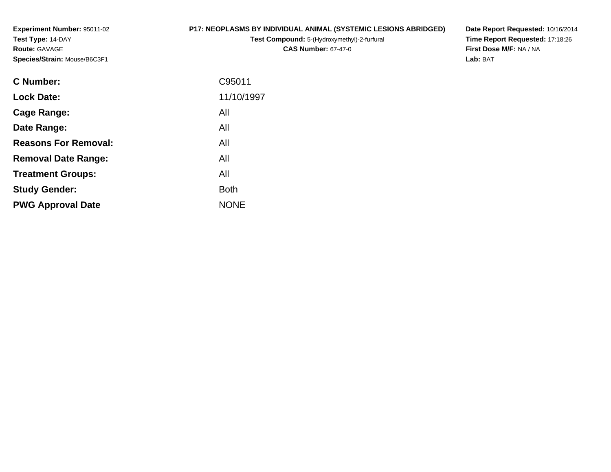**Experiment Number:** 95011-02**Test Type:** 14-DAY**Route:** GAVAGE**Species/Strain:** Mouse/B6C3F1

### **P17: NEOPLASMS BY INDIVIDUAL ANIMAL (SYSTEMIC LESIONS ABRIDGED)**

**Test Compound:** 5-(Hydroxymethyl)-2-furfural **CAS Number:** 67-47-0

**Date Report Requested:** 10/16/2014 **Time Report Requested:** 17:18:26**First Dose M/F:** NA / NA**Lab:** BAT

| <b>C</b> Number:            | C95011      |
|-----------------------------|-------------|
| <b>Lock Date:</b>           | 11/10/1997  |
| Cage Range:                 | All         |
| Date Range:                 | All         |
| <b>Reasons For Removal:</b> | All         |
| <b>Removal Date Range:</b>  | All         |
| <b>Treatment Groups:</b>    | All         |
| <b>Study Gender:</b>        | <b>Both</b> |
| <b>PWG Approval Date</b>    | <b>NONE</b> |
|                             |             |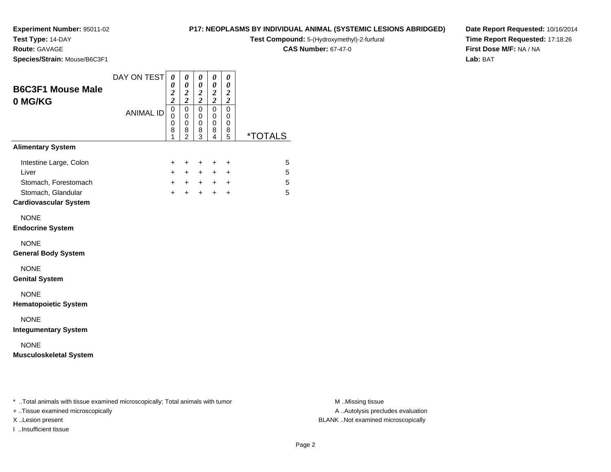**Test Type:** 14-DAY

**Route:** GAVAGE

**Species/Strain:** Mouse/B6C3F1

#### **P17: NEOPLASMS BY INDIVIDUAL ANIMAL (SYSTEMIC LESIONS ABRIDGED)**

**Test Compound:** 5-(Hydroxymethyl)-2-furfural

**CAS Number:** 67-47-0

**Date Report Requested:** 10/16/2014**Time Report Requested:** 17:18:26**First Dose M/F:** NA / NA**Lab:** BAT

| <b>B6C3F1 Mouse Male</b><br>0 MG/KG                                                                           | DAY ON TEST      | 0<br>0<br>$\frac{2}{2}$         | 0<br>0<br>$\frac{2}{2}$                                | 0<br>$\boldsymbol{\theta}$<br>$\boldsymbol{2}$<br>$\overline{\mathbf{c}}$ | 0<br>0<br>$\frac{2}{2}$                      | 0<br>0<br>$\frac{2}{2}$             |                       |
|---------------------------------------------------------------------------------------------------------------|------------------|---------------------------------|--------------------------------------------------------|---------------------------------------------------------------------------|----------------------------------------------|-------------------------------------|-----------------------|
|                                                                                                               | <b>ANIMAL ID</b> | $\mathbf 0$<br>0<br>0<br>8<br>1 | $\mathbf 0$<br>$\mathbf 0$<br>0<br>8<br>$\overline{2}$ | $\Omega$<br>0<br>0<br>8<br>3                                              | $\mathbf 0$<br>0<br>0<br>8<br>$\overline{4}$ | $\mathbf 0$<br>0<br>0<br>8<br>5     | <i><b>*TOTALS</b></i> |
| <b>Alimentary System</b>                                                                                      |                  |                                 |                                                        |                                                                           |                                              |                                     |                       |
| Intestine Large, Colon<br>Liver<br>Stomach, Forestomach<br>Stomach, Glandular<br><b>Cardiovascular System</b> |                  | $\pm$<br>$+$<br>$+$<br>$+$      | $\ddot{}$<br>$+$<br>$+$                                | $\ddot{}$<br>$+$<br>$+$ $+$<br>$+$                                        | $\ddot{}$<br>$+$<br>$+$ $+$<br>$+$           | $\ddot{}$<br>$\ddot{}$<br>$\ddot{}$ | 5<br>5<br>5<br>5      |
| <b>NONE</b><br><b>Endocrine System</b>                                                                        |                  |                                 |                                                        |                                                                           |                                              |                                     |                       |
| <b>NONE</b><br><b>General Body System</b>                                                                     |                  |                                 |                                                        |                                                                           |                                              |                                     |                       |
| <b>NONE</b><br><b>Genital System</b>                                                                          |                  |                                 |                                                        |                                                                           |                                              |                                     |                       |
| <b>NONE</b><br><b>Hematopoietic System</b>                                                                    |                  |                                 |                                                        |                                                                           |                                              |                                     |                       |
| <b>NONE</b><br><b>Integumentary System</b>                                                                    |                  |                                 |                                                        |                                                                           |                                              |                                     |                       |
| <b>NONE</b><br><b>Musculoskeletal System</b>                                                                  |                  |                                 |                                                        |                                                                           |                                              |                                     |                       |
|                                                                                                               |                  |                                 |                                                        |                                                                           |                                              |                                     |                       |

\* ..Total animals with tissue examined microscopically; Total animals with tumor **M** . Missing tissue M ..Missing tissue

+ ..Tissue examined microscopically

I ..Insufficient tissue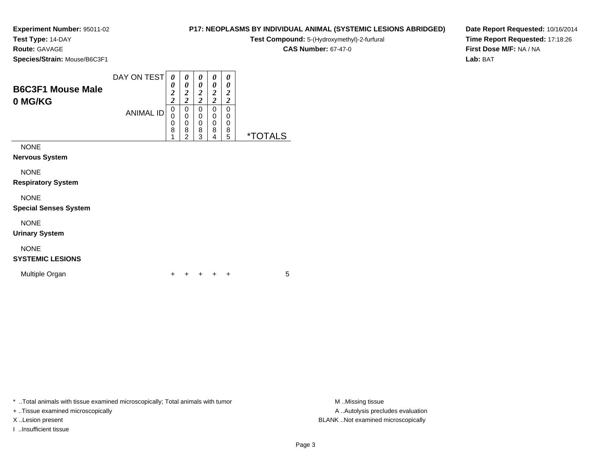## **Test Type:** 14-DAY

**Route:** GAVAGE

**Species/Strain** 

| n: Mouse/B6C3F1 |                                                |              |              |                       |  |
|-----------------|------------------------------------------------|--------------|--------------|-----------------------|--|
|                 |                                                |              |              |                       |  |
|                 | DAY ON TEST $\mid o \mid o \mid o \mid o \mid$ |              |              | $\boldsymbol{\theta}$ |  |
|                 |                                                | $\mathbf{a}$ | $\mathbf{a}$ |                       |  |

**B6C3F1 Mouse Male0 MG/KG**ANIMAL ID*0 2 2*0<br>0<br>0<br>0<br>1 *0 2 2*0<br>0<br>0<br>2<br>2 *0 2 2*0<br>0<br>0<br>3<br>3 *0 2 2*0<br>0<br>0<br>8<br>4 *0 2 2*0<br>0<br>0<br>0<br>5 5 \*TOTALSNONE

**Nervous System**

NONE

**Respiratory System**

NONE

**Special Senses System**

NONE

**Urinary System**

### NONE

**SYSTEMIC LESIONS**

Multiple Organn  $+$ 

<sup>+</sup> <sup>+</sup> <sup>+</sup> <sup>+</sup> <sup>5</sup>

\* ..Total animals with tissue examined microscopically; Total animals with tumor **M** ..Missing tissue M ..Missing tissue

+ ..Tissue examined microscopically

I ..Insufficient tissue

A .. Autolysis precludes evaluation X ..Lesion present BLANK ..Not examined microscopically

**P17: NEOPLASMS BY INDIVIDUAL ANIMAL (SYSTEMIC LESIONS ABRIDGED)Test Compound:** 5-(Hydroxymethyl)-2-furfural

**CAS Number:** 67-47-0

**Date Report Requested:** 10/16/2014**Time Report Requested:** 17:18:26**First Dose M/F:** NA / NA**Lab:** BAT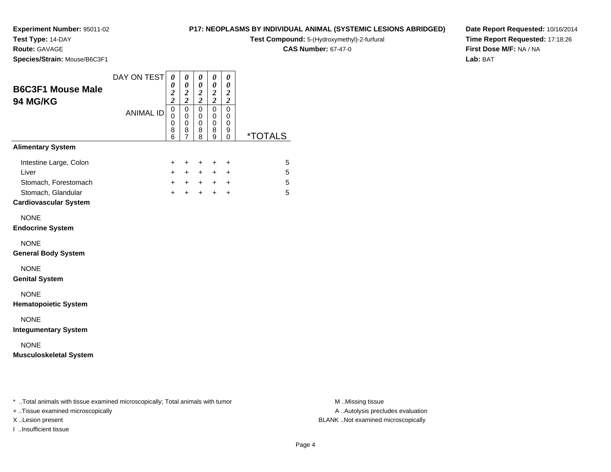**Test Type:** 14-DAY

**Route:** GAVAGE

**Species/Strain:** Mouse/B6C3F1

#### **P17: NEOPLASMS BY INDIVIDUAL ANIMAL (SYSTEMIC LESIONS ABRIDGED)**

**Test Compound:** 5-(Hydroxymethyl)-2-furfural

**CAS Number:** 67-47-0

**Date Report Requested:** 10/16/2014**Time Report Requested:** 17:18:26**First Dose M/F:** NA / NA**Lab:** BAT

| <b>B6C3F1 Mouse Male</b><br><b>94 MG/KG</b>                                                                   | DAY ON TEST      | 0<br>0<br>$\boldsymbol{2}$<br>$\bar{2}$ | $\boldsymbol{\theta}$<br>$\boldsymbol{\theta}$<br>$\frac{2}{2}$ | $\boldsymbol{\theta}$<br>$\boldsymbol{\theta}$<br>$\boldsymbol{2}$<br>$\overline{2}$ | 0<br>0<br>$\boldsymbol{2}$<br>$\overline{c}$ | 0<br>$\boldsymbol{\theta}$<br>$\boldsymbol{2}$<br>$\boldsymbol{2}$ |                       |
|---------------------------------------------------------------------------------------------------------------|------------------|-----------------------------------------|-----------------------------------------------------------------|--------------------------------------------------------------------------------------|----------------------------------------------|--------------------------------------------------------------------|-----------------------|
|                                                                                                               | <b>ANIMAL ID</b> | 0<br>$\Omega$<br>$\mathbf 0$<br>8<br>6  | $\mathbf 0$<br>$\mathbf 0$<br>0<br>8<br>$\overline{7}$          | $\mathbf 0$<br>$\mathbf 0$<br>$\pmb{0}$<br>8<br>8                                    | $\mathbf 0$<br>0<br>0<br>8<br>9              | $\pmb{0}$<br>0<br>0<br>9<br>0                                      | <i><b>*TOTALS</b></i> |
| <b>Alimentary System</b>                                                                                      |                  |                                         |                                                                 |                                                                                      |                                              |                                                                    |                       |
| Intestine Large, Colon<br>Liver<br>Stomach, Forestomach<br>Stomach, Glandular<br><b>Cardiovascular System</b> |                  | $\pm$<br>$+$<br>$+$<br>$+$              | $\pm$<br>$+$<br>$+$                                             | $\ddot{}$<br>$+$<br>$+$ $+$<br>$+$                                                   | $\pm$<br>$+$<br>$+$                          | $\ddot{}$<br>$\ddot{}$<br>$+$ $+$<br>$\ddot{}$                     | 5<br>5<br>5<br>5      |
| <b>NONE</b><br><b>Endocrine System</b>                                                                        |                  |                                         |                                                                 |                                                                                      |                                              |                                                                    |                       |
| <b>NONE</b><br><b>General Body System</b>                                                                     |                  |                                         |                                                                 |                                                                                      |                                              |                                                                    |                       |
| <b>NONE</b><br><b>Genital System</b>                                                                          |                  |                                         |                                                                 |                                                                                      |                                              |                                                                    |                       |
| <b>NONE</b><br><b>Hematopoietic System</b>                                                                    |                  |                                         |                                                                 |                                                                                      |                                              |                                                                    |                       |
| <b>NONE</b><br><b>Integumentary System</b>                                                                    |                  |                                         |                                                                 |                                                                                      |                                              |                                                                    |                       |
| <b>NONE</b><br><b>Musculoskeletal System</b>                                                                  |                  |                                         |                                                                 |                                                                                      |                                              |                                                                    |                       |
|                                                                                                               |                  |                                         |                                                                 |                                                                                      |                                              |                                                                    |                       |

\* ..Total animals with tissue examined microscopically; Total animals with tumor **M** . Missing tissue M ..Missing tissue

+ ..Tissue examined microscopically

I ..Insufficient tissue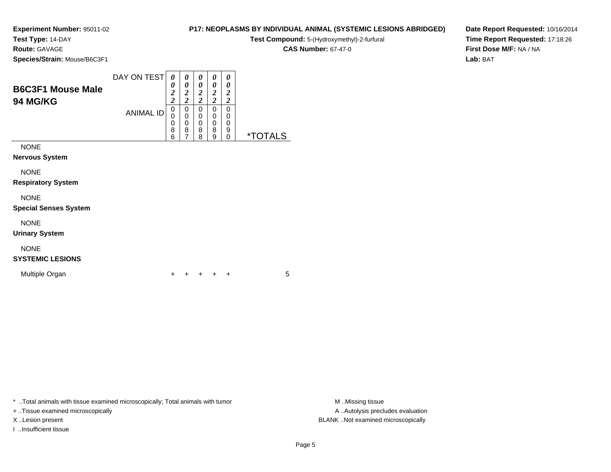### **Test Type:** 14-DAY

**Route:** GAVAGE

**Species/Strain:** Mouse/B6C3F1

|      | <b>Test Compound:</b> 5-(Hydroxymethyl)-2-furfural |
|------|----------------------------------------------------|
|      | <b>CAS Number: 67-47-0</b>                         |
| G3F1 |                                                    |

**P17: NEOPLASMS BY INDIVIDUAL ANIMAL (SYSTEMIC LESIONS ABRIDGED)**

**Date Report Requested:** 10/16/2014**Time Report Requested:** 17:18:26**First Dose M/F:** NA / NA**Lab:** BAT

| <b>B6C3F1 Mouse Male</b><br><b>94 MG/KG</b> | DAY ON TEST      | 0<br>0<br>$\overline{c}$<br>$\overline{\mathbf{c}}$ | 0<br>0<br>2<br>2 | 0<br>0<br>$\overline{2}$<br>$\overline{\mathbf{c}}$ | 0<br>0<br>2<br>$\overline{2}$ | 0<br>0<br>2<br>2 |                       |
|---------------------------------------------|------------------|-----------------------------------------------------|------------------|-----------------------------------------------------|-------------------------------|------------------|-----------------------|
|                                             | <b>ANIMAL ID</b> | 0<br>0<br>0<br>8                                    | 0<br>0<br>0<br>8 | 0<br>0<br>0<br>8                                    | 0<br>0<br>0<br>8              | 0<br>0<br>0<br>9 |                       |
|                                             |                  | 6                                                   | 7                | 8                                                   | 9                             | 0                | <i><b>*TOTALS</b></i> |
| <b>NONE</b>                                 |                  |                                                     |                  |                                                     |                               |                  |                       |
| <b>Nervous System</b>                       |                  |                                                     |                  |                                                     |                               |                  |                       |
| <b>NONE</b>                                 |                  |                                                     |                  |                                                     |                               |                  |                       |
| <b>Respiratory System</b>                   |                  |                                                     |                  |                                                     |                               |                  |                       |

NONE

### **Special Senses System**

NONE

**Urinary System**

### NONE

### **SYSTEMIC LESIONS**

Multiple Organn  $+$ 

<sup>+</sup> <sup>+</sup> <sup>+</sup> <sup>+</sup> <sup>5</sup>

\* ..Total animals with tissue examined microscopically; Total animals with tumor **M** . Missing tissue M ..Missing tissue

+ ..Tissue examined microscopically

I ..Insufficient tissue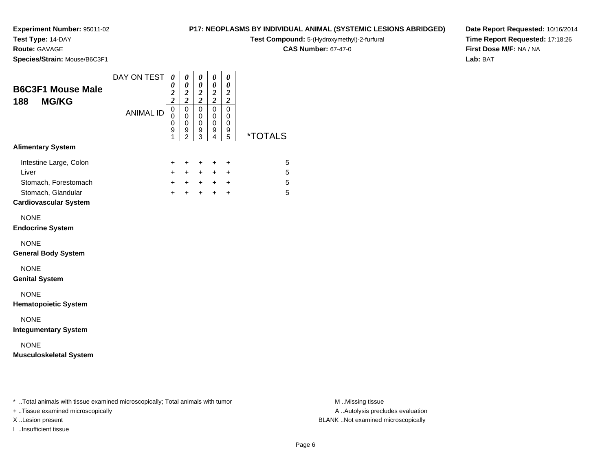### **Test Type:** 14-DAY

**Route:** GAVAGE

**Species/Strain:** Mouse/B6C3F1

#### **P17: NEOPLASMS BY INDIVIDUAL ANIMAL (SYSTEMIC LESIONS ABRIDGED)**

**Test Compound:** 5-(Hydroxymethyl)-2-furfural

**CAS Number:** 67-47-0

**Date Report Requested:** 10/16/2014**Time Report Requested:** 17:18:26**First Dose M/F:** NA / NA**Lab:** BAT

| <b>B6C3F1 Mouse Male</b><br><b>MG/KG</b><br>188                                                               | DAY ON TEST      | 0<br>0<br>$\boldsymbol{2}$<br>$\overline{\mathbf{c}}$ | 0<br>$\boldsymbol{\theta}$<br>$\boldsymbol{2}$<br>$\overline{c}$ | 0<br>0<br>$\boldsymbol{2}$<br>$\overline{2}$ | 0<br>0<br>$\boldsymbol{2}$<br>$\overline{2}$ | 0<br>0<br>$\boldsymbol{2}$<br>$\overline{\mathbf{c}}$ |                       |
|---------------------------------------------------------------------------------------------------------------|------------------|-------------------------------------------------------|------------------------------------------------------------------|----------------------------------------------|----------------------------------------------|-------------------------------------------------------|-----------------------|
|                                                                                                               | <b>ANIMAL ID</b> | 0<br>0<br>0<br>9<br>1                                 | $\mathbf 0$<br>0<br>0<br>9<br>$\mathfrak{p}$                     | $\mathbf 0$<br>0<br>0<br>9<br>3              | $\mathbf 0$<br>0<br>0<br>9<br>$\overline{4}$ | 0<br>0<br>0<br>9<br>5                                 | <i><b>*TOTALS</b></i> |
| <b>Alimentary System</b>                                                                                      |                  |                                                       |                                                                  |                                              |                                              |                                                       |                       |
| Intestine Large, Colon<br>Liver<br>Stomach, Forestomach<br>Stomach, Glandular<br><b>Cardiovascular System</b> |                  | +<br>$\ddot{}$<br>$+$<br>$+$                          | $\ddot{}$<br>$+$<br>$+$ $+$<br>$+$                               | +<br>$+$<br>$+$                              | +<br>$+$<br>$+$                              | $\ddot{}$<br>$\ddot{}$<br>$+$ $+$<br>$\ddot{}$        | 5<br>5<br>5<br>5      |
| <b>NONE</b><br><b>Endocrine System</b>                                                                        |                  |                                                       |                                                                  |                                              |                                              |                                                       |                       |
| <b>NONE</b><br><b>General Body System</b>                                                                     |                  |                                                       |                                                                  |                                              |                                              |                                                       |                       |
| <b>NONE</b><br><b>Genital System</b>                                                                          |                  |                                                       |                                                                  |                                              |                                              |                                                       |                       |
| <b>NONE</b><br><b>Hematopoietic System</b>                                                                    |                  |                                                       |                                                                  |                                              |                                              |                                                       |                       |
| <b>NONE</b><br><b>Integumentary System</b>                                                                    |                  |                                                       |                                                                  |                                              |                                              |                                                       |                       |
| <b>NONE</b><br><b>Musculoskeletal System</b>                                                                  |                  |                                                       |                                                                  |                                              |                                              |                                                       |                       |
|                                                                                                               |                  |                                                       |                                                                  |                                              |                                              |                                                       |                       |

\* ..Total animals with tissue examined microscopically; Total animals with tumor **M** . Missing tissue M ..Missing tissue

+ ..Tissue examined microscopically

I ..Insufficient tissue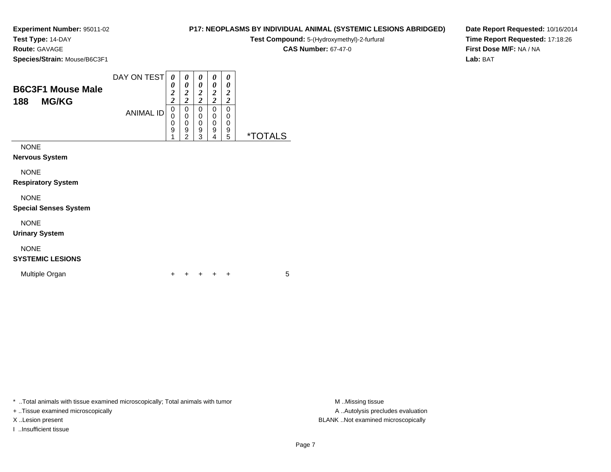**Test Type:** 14-DAY

**Route:** GAVAGE

| Species/Strain: Mouse/B6C3F1 |                                                  |  |               |  |
|------------------------------|--------------------------------------------------|--|---------------|--|
|                              | DAY ON TEST $\mid o \mid o \mid o \mid o \mid o$ |  |               |  |
| <b>B6C3F1 Mouse Male</b>     |                                                  |  | $\mathcal{P}$ |  |

| 188         | <b>MG/KG</b> |           | ◢<br>n<br>◢ | ∠<br>◠<br>∠ | ◢<br>$\mathbf{\hat{}}$<br>∼ | ◢<br>Δ<br>车 | ◢<br>$\mathbf{\hat{}}$<br>◢ |    |
|-------------|--------------|-----------|-------------|-------------|-----------------------------|-------------|-----------------------------|----|
|             |              | ANIMAL ID | U           | u           | u                           | u           | 0                           |    |
|             |              |           | ◠<br>U      | ⌒<br>u      |                             | u           | 0                           |    |
|             |              |           | ◠<br>U      |             |                             | u           | 0                           |    |
|             |              |           | 9           | 9           | 9                           | 9           | 9                           |    |
|             |              |           | ٠           | $\sim$      | $\sim$                      |             | 5                           | ∗¬ |
| <b>NONE</b> |              |           |             |             |                             |             |                             |    |

NONE

**Nervous System**

NONE

**Respiratory System**

NONE

**Special Senses System**

NONE

**Urinary System**

### NONE

**SYSTEMIC LESIONS**

Multiple Organn  $+$ 

<sup>+</sup> <sup>+</sup> <sup>+</sup> <sup>+</sup> <sup>5</sup>

\* ..Total animals with tissue examined microscopically; Total animals with tumor **M** ...Missing tissue M ...Missing tissue

+ ..Tissue examined microscopically

I ..Insufficient tissue

A .. Autolysis precludes evaluation X ..Lesion present BLANK ..Not examined microscopically

**Test Compound:** 5-(Hydroxymethyl)-2-furfural **CAS Number:** 67-47-0

**P17: NEOPLASMS BY INDIVIDUAL ANIMAL (SYSTEMIC LESIONS ABRIDGED)**

**Date Report Requested:** 10/16/2014**Time Report Requested:** 17:18:26**First Dose M/F:** NA / NA**Lab:** BAT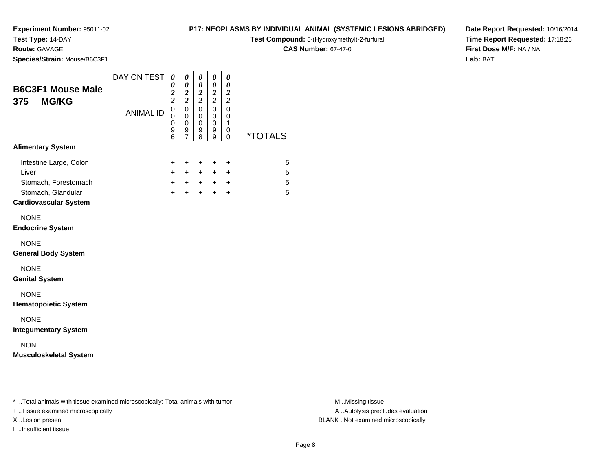### **Test Type:** 14-DAY

**Route:** GAVAGE

**Species/Strain:** Mouse/B6C3F1

#### **P17: NEOPLASMS BY INDIVIDUAL ANIMAL (SYSTEMIC LESIONS ABRIDGED)**

**Test Compound:** 5-(Hydroxymethyl)-2-furfural

**CAS Number:** 67-47-0

**Date Report Requested:** 10/16/2014**Time Report Requested:** 17:18:26**First Dose M/F:** NA / NA**Lab:** BAT

| <b>B6C3F1 Mouse Male</b><br><b>MG/KG</b><br>375                                                               | DAY ON TEST      | 0<br>0<br>$\frac{2}{2}$                                     | 0<br>$\pmb{\theta}$<br>$\boldsymbol{2}$<br>$\overline{\mathbf{c}}$ | 0<br>$\pmb{\theta}$<br>$\boldsymbol{2}$<br>$\overline{\mathbf{c}}$ | 0<br>$\boldsymbol{\theta}$<br>$\boldsymbol{2}$<br>$\overline{c}$ | 0<br>$\boldsymbol{\theta}$<br>$\boldsymbol{2}$<br>$\boldsymbol{2}$ |                       |
|---------------------------------------------------------------------------------------------------------------|------------------|-------------------------------------------------------------|--------------------------------------------------------------------|--------------------------------------------------------------------|------------------------------------------------------------------|--------------------------------------------------------------------|-----------------------|
|                                                                                                               | <b>ANIMAL ID</b> | $\overline{0}$<br>$\mathbf 0$<br>$\boldsymbol{0}$<br>9<br>6 | $\mathbf 0$<br>0<br>0<br>9<br>$\overline{7}$                       | $\mathbf 0$<br>$\pmb{0}$<br>$\mathbf 0$<br>9<br>8                  | $\mathbf 0$<br>0<br>0<br>9<br>9                                  | $\mathbf 0$<br>0<br>$\mathbf{1}$<br>0<br>0                         | <i><b>*TOTALS</b></i> |
| <b>Alimentary System</b>                                                                                      |                  |                                                             |                                                                    |                                                                    |                                                                  |                                                                    |                       |
| Intestine Large, Colon<br>Liver<br>Stomach, Forestomach<br>Stomach, Glandular<br><b>Cardiovascular System</b> |                  | +<br>$+$<br>$+$<br>$+$                                      | $\ddot{}$<br>$+$<br>$+$                                            | $\ddot{}$<br>$+$<br>$+$ $+$<br>$+$                                 | $\ddot{}$<br>$+$<br>$+$ $+$<br>$+$                               | $\ddot{}$<br>$\ddot{}$<br>$\ddot{}$                                | 5<br>5<br>5<br>5      |
| <b>NONE</b><br><b>Endocrine System</b>                                                                        |                  |                                                             |                                                                    |                                                                    |                                                                  |                                                                    |                       |
| <b>NONE</b><br><b>General Body System</b>                                                                     |                  |                                                             |                                                                    |                                                                    |                                                                  |                                                                    |                       |
| <b>NONE</b><br><b>Genital System</b>                                                                          |                  |                                                             |                                                                    |                                                                    |                                                                  |                                                                    |                       |
| <b>NONE</b><br><b>Hematopoietic System</b>                                                                    |                  |                                                             |                                                                    |                                                                    |                                                                  |                                                                    |                       |
| <b>NONE</b><br><b>Integumentary System</b>                                                                    |                  |                                                             |                                                                    |                                                                    |                                                                  |                                                                    |                       |
| <b>NONE</b><br><b>Musculoskeletal System</b>                                                                  |                  |                                                             |                                                                    |                                                                    |                                                                  |                                                                    |                       |
|                                                                                                               |                  |                                                             |                                                                    |                                                                    |                                                                  |                                                                    |                       |

\* ..Total animals with tissue examined microscopically; Total animals with tumor **M** . Missing tissue M ..Missing tissue

+ ..Tissue examined microscopically

I ..Insufficient tissue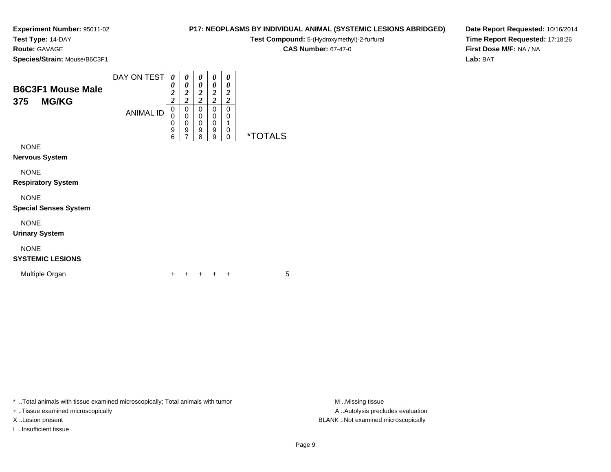**Test Type:** 14-DAY

**Route:** GAVAGE

**Species/Strain:** Mouse/B6C3F1

#### DAY ON TEST *0 0***B6C3F1 Mouse Male***0 00 00 00 0*

| PUUJI I MUUJE MAIE  |           | ി<br>∠ | ኅ<br>∠ | 7<br>∠ | ኃ<br>◢ | 2      |                    |
|---------------------|-----------|--------|--------|--------|--------|--------|--------------------|
| 375<br><b>MG/KG</b> |           | ◠<br>◢ | ኅ<br>车 | ി<br>∠ | ◠<br>∠ | ി<br>◢ |                    |
|                     | ANIMAL ID | 0      | 0      | 0      | 0      | 0      |                    |
|                     |           | 0      | 0      | 0      | 0      | 0      |                    |
|                     |           | 0      | 0      | 0      | 0      | ◢      |                    |
|                     |           | 9      | 9      | 9      | 9      | 0      |                    |
|                     |           | 6      |        | 8      | 9      | 0      | *T∩T<br><b>ALS</b> |
| <b>NONE</b>         |           |        |        |        |        |        |                    |

**Nervous System**

NONE

 $\overline{\phantom{0}}$ 

**Respiratory System**

NONE

**Special Senses System**

NONE

**Urinary System**

### NONE

### **SYSTEMIC LESIONS**

Multiple Organn  $+$ 

<sup>+</sup> <sup>+</sup> <sup>+</sup> <sup>+</sup> <sup>5</sup>

\* ..Total animals with tissue examined microscopically; Total animals with tumor **M** ..Missing tissue M ..Missing tissue

+ ..Tissue examined microscopically

I ..Insufficient tissue

A .. Autolysis precludes evaluation X ..Lesion present BLANK ..Not examined microscopically

**P17: NEOPLASMS BY INDIVIDUAL ANIMAL (SYSTEMIC LESIONS ABRIDGED)Test Compound:** 5-(Hydroxymethyl)-2-furfural

**CAS Number:** 67-47-0

**Date Report Requested:** 10/16/2014**Time Report Requested:** 17:18:26**First Dose M/F:** NA / NA**Lab:** BAT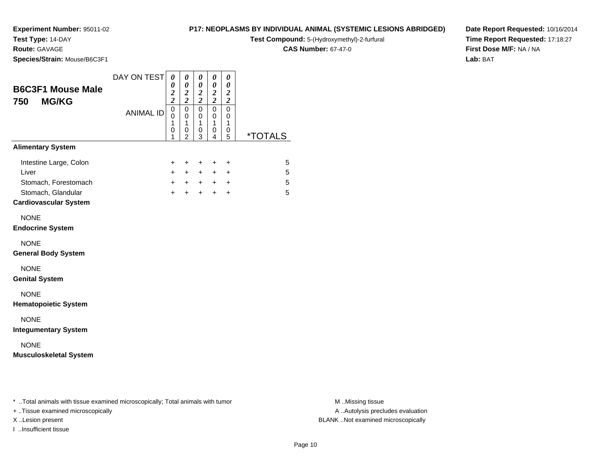### **Test Type:** 14-DAY

**Route:** GAVAGE

**Species/Strain:** Mouse/B6C3F1

#### **P17: NEOPLASMS BY INDIVIDUAL ANIMAL (SYSTEMIC LESIONS ABRIDGED)**

**Test Compound:** 5-(Hydroxymethyl)-2-furfural

**CAS Number:** 67-47-0

**Date Report Requested:** 10/16/2014**Time Report Requested:** 17:18:27**First Dose M/F:** NA / NA**Lab:** BAT

| <b>B6C3F1 Mouse Male</b><br><b>MG/KG</b><br>750                                                               | DAY ON TEST      | 0<br>0<br>$\frac{2}{2}$                      | 0<br>$\pmb{\theta}$<br>$\boldsymbol{2}$<br>$\overline{\mathbf{c}}$ | 0<br>$\pmb{\theta}$<br>$\boldsymbol{2}$<br>$\overline{\mathbf{c}}$ | 0<br>$\boldsymbol{\theta}$<br>$\boldsymbol{2}$<br>$\overline{c}$ | 0<br>$\boldsymbol{\theta}$<br>$\boldsymbol{2}$<br>$\boldsymbol{2}$ |                       |
|---------------------------------------------------------------------------------------------------------------|------------------|----------------------------------------------|--------------------------------------------------------------------|--------------------------------------------------------------------|------------------------------------------------------------------|--------------------------------------------------------------------|-----------------------|
|                                                                                                               | <b>ANIMAL ID</b> | $\overline{0}$<br>$\mathbf 0$<br>1<br>0<br>1 | $\mathbf 0$<br>$\mathbf 0$<br>$\mathbf{1}$<br>0<br>$\overline{2}$  | $\mathbf 0$<br>$\pmb{0}$<br>$\mathbf{1}$<br>$\pmb{0}$<br>3         | $\mathbf 0$<br>0<br>$\mathbf{1}$<br>0<br>$\overline{4}$          | $\mathbf 0$<br>0<br>$\mathbf{1}$<br>0<br>5                         | <i><b>*TOTALS</b></i> |
| <b>Alimentary System</b>                                                                                      |                  |                                              |                                                                    |                                                                    |                                                                  |                                                                    |                       |
| Intestine Large, Colon<br>Liver<br>Stomach, Forestomach<br>Stomach, Glandular<br><b>Cardiovascular System</b> |                  | +<br>$+$<br>$+$<br>$+$                       | $\ddot{}$<br>$+$<br>$+$                                            | $\ddot{}$<br>$+$<br>$+$ $+$<br>$+$                                 | $\ddot{}$<br>$+$<br>$+$ $+$<br>$+$                               | $\ddot{}$<br>$\ddot{}$<br>$\ddot{}$                                | 5<br>5<br>5<br>5      |
| <b>NONE</b><br><b>Endocrine System</b>                                                                        |                  |                                              |                                                                    |                                                                    |                                                                  |                                                                    |                       |
| <b>NONE</b><br><b>General Body System</b>                                                                     |                  |                                              |                                                                    |                                                                    |                                                                  |                                                                    |                       |
| <b>NONE</b><br><b>Genital System</b>                                                                          |                  |                                              |                                                                    |                                                                    |                                                                  |                                                                    |                       |
| <b>NONE</b><br><b>Hematopoietic System</b>                                                                    |                  |                                              |                                                                    |                                                                    |                                                                  |                                                                    |                       |
| <b>NONE</b><br><b>Integumentary System</b>                                                                    |                  |                                              |                                                                    |                                                                    |                                                                  |                                                                    |                       |
| <b>NONE</b><br><b>Musculoskeletal System</b>                                                                  |                  |                                              |                                                                    |                                                                    |                                                                  |                                                                    |                       |
|                                                                                                               |                  |                                              |                                                                    |                                                                    |                                                                  |                                                                    |                       |

\* ..Total animals with tissue examined microscopically; Total animals with tumor **M** . Missing tissue M ..Missing tissue

+ ..Tissue examined microscopically

I ..Insufficient tissue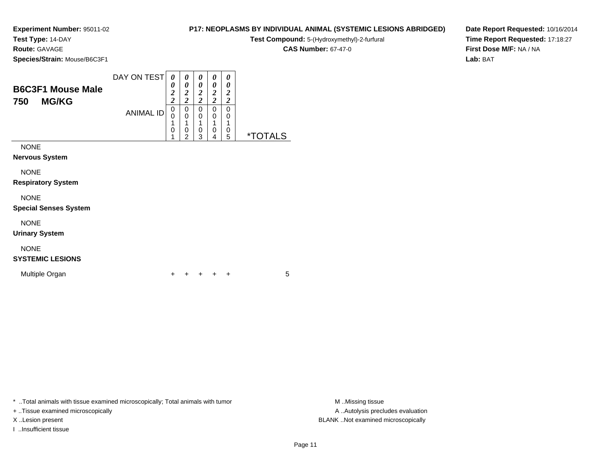**Test Type:** 14-DAY

**Route:** GAVAGE

**Species/Strain:** Mouse/B6C3F1

### **P17: NEOPLASMS BY INDIVIDUAL ANIMAL (SYSTEMIC LESIONS ABRIDGED)**

**Test Compound:** 5-(Hydroxymethyl)-2-furfural

**CAS Number:** 67-47-0

**Date Report Requested:** 10/16/2014**Time Report Requested:** 17:18:27**First Dose M/F:** NA / NA**Lab:** BAT

| <b>B6C3F1 Mouse Male</b><br><b>MG/KG</b><br>750                                  | DAY ON TEST<br><b>ANIMAL ID</b> | $\theta$<br>0<br>2<br>$\boldsymbol{2}$<br>0<br>0<br>1<br>0 | 0<br>0<br>2<br>2<br>0<br>$\mathbf 0$<br>◢<br>0<br>っ | 0<br>0<br>$\overline{\mathbf{c}}$<br>2<br>0<br>0<br>4<br>0<br>3 | 0<br>0<br>2<br>$\overline{2}$<br>0<br>$\mathbf 0$<br>1<br>$\mathbf 0$<br>4 | 0<br>0<br>$\overline{2}$<br>2<br>0<br>0<br>0<br>5 | <i><b>*TOTALS</b></i> |
|----------------------------------------------------------------------------------|---------------------------------|------------------------------------------------------------|-----------------------------------------------------|-----------------------------------------------------------------|----------------------------------------------------------------------------|---------------------------------------------------|-----------------------|
| <b>NONE</b><br><b>Nervous System</b><br><b>NONE</b><br><b>Respiratory System</b> |                                 |                                                            |                                                     |                                                                 |                                                                            |                                                   |                       |

NONE

**Special Senses System**

NONE

**Urinary System**

### NONE

### **SYSTEMIC LESIONS**

Multiple Organn  $+$ 

<sup>+</sup> <sup>+</sup> <sup>+</sup> <sup>+</sup> <sup>5</sup>

\* ..Total animals with tissue examined microscopically; Total animals with tumor **M** ...Missing tissue M ...Missing tissue

+ ..Tissue examined microscopically

I ..Insufficient tissue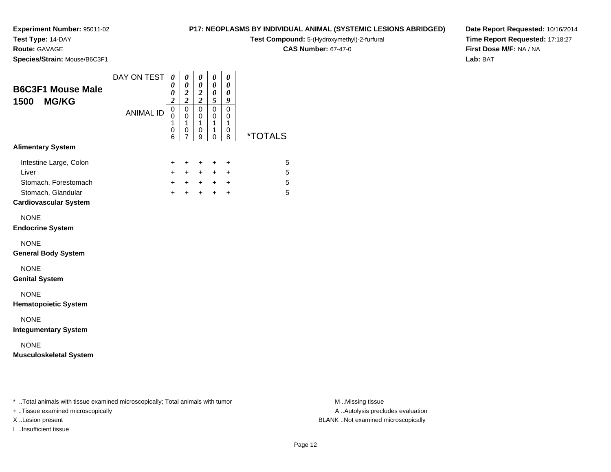### **Test Type:** 14-DAY

**Route:** GAVAGE

**Species/Strain:** Mouse/B6C3F1

### **P17: NEOPLASMS BY INDIVIDUAL ANIMAL (SYSTEMIC LESIONS ABRIDGED)**

**Test Compound:** 5-(Hydroxymethyl)-2-furfural

**CAS Number:** 67-47-0

**Date Report Requested:** 10/16/2014**Time Report Requested:** 17:18:27**First Dose M/F:** NA / NA**Lab:** BAT

| <b>B6C3F1 Mouse Male</b><br><b>MG/KG</b><br>1500                                                              | DAY ON TEST      | 0<br>0<br>0<br>$\overline{\mathbf{c}}$ | 0<br>$\boldsymbol{\theta}$<br>$\boldsymbol{2}$<br>$\overline{2}$ | $\boldsymbol{\theta}$<br>$\boldsymbol{\theta}$<br>$\boldsymbol{2}$<br>$\overline{2}$ | $\pmb{\theta}$<br>0<br>0<br>5 | 0<br>$\boldsymbol{\theta}$<br>$\boldsymbol{\theta}$<br>9 |                  |
|---------------------------------------------------------------------------------------------------------------|------------------|----------------------------------------|------------------------------------------------------------------|--------------------------------------------------------------------------------------|-------------------------------|----------------------------------------------------------|------------------|
|                                                                                                               | <b>ANIMAL ID</b> | 0<br>$\Omega$<br>1<br>0<br>6           | $\mathbf 0$<br>$\mathbf 0$<br>1<br>0<br>7                        | $\mathbf 0$<br>$\mathbf 0$<br>1<br>0<br>9                                            | 0<br>0<br>1<br>1<br>0         | $\mathbf 0$<br>0<br>1<br>0<br>8                          | *TOTALS          |
| <b>Alimentary System</b>                                                                                      |                  |                                        |                                                                  |                                                                                      |                               |                                                          |                  |
| Intestine Large, Colon<br>Liver<br>Stomach, Forestomach<br>Stomach, Glandular<br><b>Cardiovascular System</b> |                  | +<br>$+$<br>$+$<br>$+$                 | $\ddot{}$<br>$+$<br>$\ddot{}$                                    | $\ddot{}$<br>$+$<br>$+$ $+$<br>$+$                                                   | $\ddot{}$<br>$+$<br>$+$       | $\ddot{}$<br>$\ddot{}$<br>$+$ $+$<br>$\ddot{}$           | 5<br>5<br>5<br>5 |
| <b>NONE</b><br><b>Endocrine System</b>                                                                        |                  |                                        |                                                                  |                                                                                      |                               |                                                          |                  |
| <b>NONE</b><br><b>General Body System</b>                                                                     |                  |                                        |                                                                  |                                                                                      |                               |                                                          |                  |
| <b>NONE</b><br><b>Genital System</b>                                                                          |                  |                                        |                                                                  |                                                                                      |                               |                                                          |                  |
| <b>NONE</b><br><b>Hematopoietic System</b>                                                                    |                  |                                        |                                                                  |                                                                                      |                               |                                                          |                  |
| <b>NONE</b><br><b>Integumentary System</b>                                                                    |                  |                                        |                                                                  |                                                                                      |                               |                                                          |                  |
| <b>NONE</b><br><b>Musculoskeletal System</b>                                                                  |                  |                                        |                                                                  |                                                                                      |                               |                                                          |                  |
|                                                                                                               |                  |                                        |                                                                  |                                                                                      |                               |                                                          |                  |

\* ..Total animals with tissue examined microscopically; Total animals with tumor **M** . Missing tissue M ..Missing tissue

+ ..Tissue examined microscopically

I ..Insufficient tissue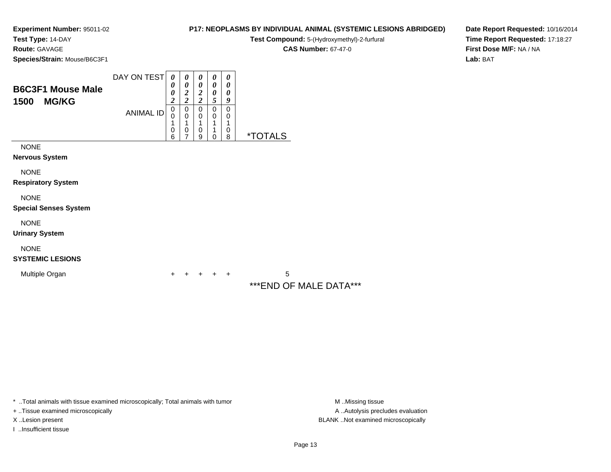**Test Type:** 14-DAY

**Route:** GAVAGE

**Species/Strain:** Mouse/B6C3F1

### **Test Compound:** 5-(Hydroxymethyl)-2-furfural **CAS Number:** 67-47-0

**P17: NEOPLASMS BY INDIVIDUAL ANIMAL (SYSTEMIC LESIONS ABRIDGED)**

**Date Report Requested:** 10/16/2014**Time Report Requested:** 17:18:27**First Dose M/F:** NA / NA**Lab:** BAT

| <b>B6C3F1 Mouse Male</b><br><b>MG/KG</b><br>1500 | DAY ON TEST<br><b>ANIMAL ID</b> | 0<br>0<br>0<br>$\overline{\mathbf{c}}$<br>$\mathbf 0$<br>$\Omega$<br>1<br>0<br>6 | $\boldsymbol{\theta}$<br>0<br>2<br>$\overline{\mathbf{c}}$<br>0<br>$\mathbf 0$<br>1<br>$\mathbf 0$<br>7 | $\boldsymbol{\theta}$<br>$\boldsymbol{\theta}$<br>$\overline{\mathbf{c}}$<br>$\overline{\mathbf{c}}$<br>$\pmb{0}$<br>$\mathbf 0$<br>1<br>$\mathbf 0$<br>9 | $\boldsymbol{\theta}$<br>$\boldsymbol{\theta}$<br>0<br>5<br>0<br>$\mathbf 0$<br>1<br>1<br>0 | 0<br>0<br>0<br>9<br>0<br>0<br>1<br>0<br>8 | <i><b>*TOTALS</b></i>        |
|--------------------------------------------------|---------------------------------|----------------------------------------------------------------------------------|---------------------------------------------------------------------------------------------------------|-----------------------------------------------------------------------------------------------------------------------------------------------------------|---------------------------------------------------------------------------------------------|-------------------------------------------|------------------------------|
| <b>NONE</b><br><b>Nervous System</b>             |                                 |                                                                                  |                                                                                                         |                                                                                                                                                           |                                                                                             |                                           |                              |
| <b>NONE</b><br><b>Respiratory System</b>         |                                 |                                                                                  |                                                                                                         |                                                                                                                                                           |                                                                                             |                                           |                              |
| <b>NONE</b><br><b>Special Senses System</b>      |                                 |                                                                                  |                                                                                                         |                                                                                                                                                           |                                                                                             |                                           |                              |
| <b>NONE</b><br><b>Urinary System</b>             |                                 |                                                                                  |                                                                                                         |                                                                                                                                                           |                                                                                             |                                           |                              |
| <b>NONE</b><br><b>SYSTEMIC LESIONS</b>           |                                 |                                                                                  |                                                                                                         |                                                                                                                                                           |                                                                                             |                                           |                              |
| Multiple Organ                                   |                                 | $\ddot{}$                                                                        | +                                                                                                       | $\pm$                                                                                                                                                     | $+$                                                                                         | $+$                                       | 5<br>*** END OF MALE DATA*** |

\* ..Total animals with tissue examined microscopically; Total animals with tumor

+ ..Tissue examined microscopically

I ..Insufficient tissue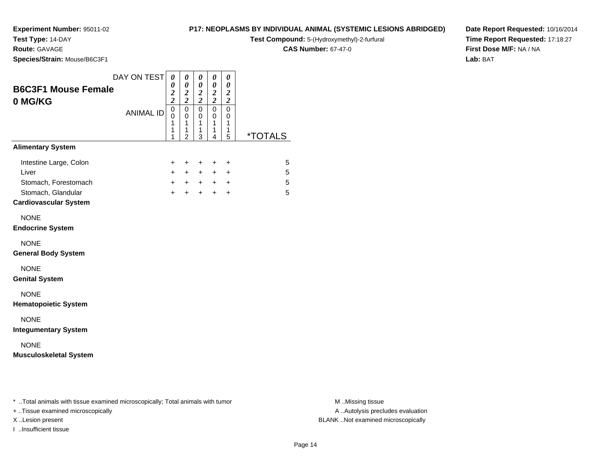**Test Type:** 14-DAY

**Route:** GAVAGE

**Species/Strain:** Mouse/B6C3F1

#### **P17: NEOPLASMS BY INDIVIDUAL ANIMAL (SYSTEMIC LESIONS ABRIDGED)**

**Test Compound:** 5-(Hydroxymethyl)-2-furfural

**CAS Number:** 67-47-0

**Date Report Requested:** 10/16/2014**Time Report Requested:** 17:18:27**First Dose M/F:** NA / NA**Lab:** BAT

|                                                                               | DAY ON TEST      | 0                                       | 0                                            | 0                               | 0                                       | 0                                                |                       |
|-------------------------------------------------------------------------------|------------------|-----------------------------------------|----------------------------------------------|---------------------------------|-----------------------------------------|--------------------------------------------------|-----------------------|
| <b>B6C3F1 Mouse Female</b><br>0 MG/KG                                         |                  | 0<br>$\boldsymbol{2}$<br>$\overline{2}$ | 0<br>$\boldsymbol{2}$<br>$\overline{2}$      | 0<br>$\frac{2}{2}$              | 0<br>$\boldsymbol{2}$<br>$\overline{2}$ | 0<br>$\boldsymbol{2}$<br>$\overline{\mathbf{c}}$ |                       |
|                                                                               | <b>ANIMAL ID</b> | 0<br>0<br>1<br>1<br>1                   | $\mathbf 0$<br>0<br>1<br>1<br>$\overline{2}$ | $\mathbf 0$<br>0<br>1<br>1<br>3 | 0<br>0<br>1<br>1<br>4                   | 0<br>0<br>1<br>1<br>5                            | <i><b>*TOTALS</b></i> |
| <b>Alimentary System</b>                                                      |                  |                                         |                                              |                                 |                                         |                                                  |                       |
| Intestine Large, Colon<br>Liver<br>Stomach, Forestomach<br>Stomach, Glandular |                  | $\ddot{}$<br>$+$<br>$+$<br>$+$          | $\pm$<br>$+$<br>$+$<br>$\ddot{}$             | $\pm$<br>$+$<br>$+$<br>$+$      | $\ddot{}$<br>$+$<br>$+$<br>$\ddot{}$    | +<br>+<br>$\ddot{}$<br>$\ddot{}$                 | 5<br>5<br>5<br>5      |
| <b>Cardiovascular System</b>                                                  |                  |                                         |                                              |                                 |                                         |                                                  |                       |
| <b>NONE</b><br><b>Endocrine System</b>                                        |                  |                                         |                                              |                                 |                                         |                                                  |                       |
| <b>NONE</b><br><b>General Body System</b>                                     |                  |                                         |                                              |                                 |                                         |                                                  |                       |
| <b>NONE</b><br><b>Genital System</b>                                          |                  |                                         |                                              |                                 |                                         |                                                  |                       |
| <b>NONE</b><br><b>Hematopoietic System</b>                                    |                  |                                         |                                              |                                 |                                         |                                                  |                       |
| <b>NONE</b><br><b>Integumentary System</b>                                    |                  |                                         |                                              |                                 |                                         |                                                  |                       |
| <b>NONE</b><br><b>Musculoskeletal System</b>                                  |                  |                                         |                                              |                                 |                                         |                                                  |                       |
|                                                                               |                  |                                         |                                              |                                 |                                         |                                                  |                       |
|                                                                               |                  |                                         |                                              |                                 |                                         |                                                  |                       |

\* ..Total animals with tissue examined microscopically; Total animals with tumor **M** . Missing tissue M ..Missing tissue

+ ..Tissue examined microscopically

I ..Insufficient tissue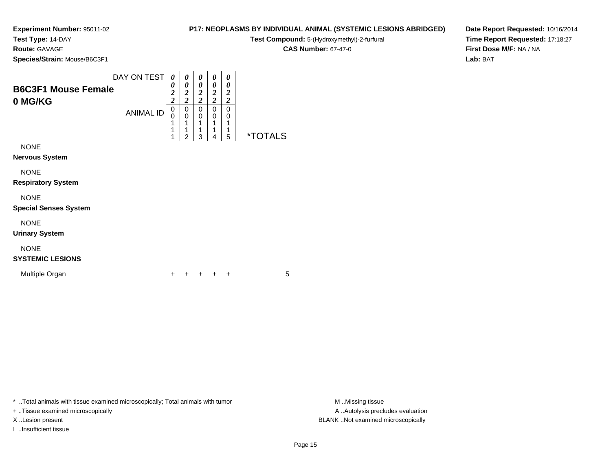**Test Type:** 14-DAY

**Route:** GAVAGE

**Species/Strain:** Mouse/B6C3F1

### **P17: NEOPLASMS BY INDIVIDUAL ANIMAL (SYSTEMIC LESIONS ABRIDGED)**

**Test Compound:** 5-(Hydroxymethyl)-2-furfural

**CAS Number:** 67-47-0

**Date Report Requested:** 10/16/2014**Time Report Requested:** 17:18:27**First Dose M/F:** NA / NA**Lab:** BAT

| <b>B6C3F1 Mouse Female</b><br>0 MG/KG       | DAY ON TEST<br><b>ANIMAL ID</b> | 0<br>0<br>$\overline{\mathbf{c}}$<br>$\overline{c}$<br>0<br>0<br>1<br>1<br>1 | 0<br>0<br>$\boldsymbol{2}$<br>$\overline{2}$<br>0<br>0<br>1<br>2 | 0<br>0<br>$\boldsymbol{2}$<br>$\overline{2}$<br>0<br>0<br>1<br>1<br>3 | 0<br>0<br>$\boldsymbol{2}$<br>$\overline{2}$<br>0<br>0<br>1<br>1<br>4 | 0<br>0<br>$\boldsymbol{2}$<br>$\boldsymbol{2}$<br>0<br>0<br>1<br>1<br>5 | <i><b>*TOTALS</b></i> |
|---------------------------------------------|---------------------------------|------------------------------------------------------------------------------|------------------------------------------------------------------|-----------------------------------------------------------------------|-----------------------------------------------------------------------|-------------------------------------------------------------------------|-----------------------|
| <b>NONE</b><br>Nervous System               |                                 |                                                                              |                                                                  |                                                                       |                                                                       |                                                                         |                       |
| <b>NONE</b><br><b>Respiratory System</b>    |                                 |                                                                              |                                                                  |                                                                       |                                                                       |                                                                         |                       |
| <b>NONE</b><br><b>Special Senses System</b> |                                 |                                                                              |                                                                  |                                                                       |                                                                       |                                                                         |                       |
| <b>NONE</b><br><b>Urinary System</b>        |                                 |                                                                              |                                                                  |                                                                       |                                                                       |                                                                         |                       |
| <b>NONE</b>                                 |                                 |                                                                              |                                                                  |                                                                       |                                                                       |                                                                         |                       |

### **SYSTEMIC LESIONS**

Multiple Organn  $+$ 

<sup>+</sup> <sup>+</sup> <sup>+</sup> <sup>+</sup> <sup>5</sup>

\* ..Total animals with tissue examined microscopically; Total animals with tumor **M** . Missing tissue M ..Missing tissue

+ ..Tissue examined microscopically

I ..Insufficient tissue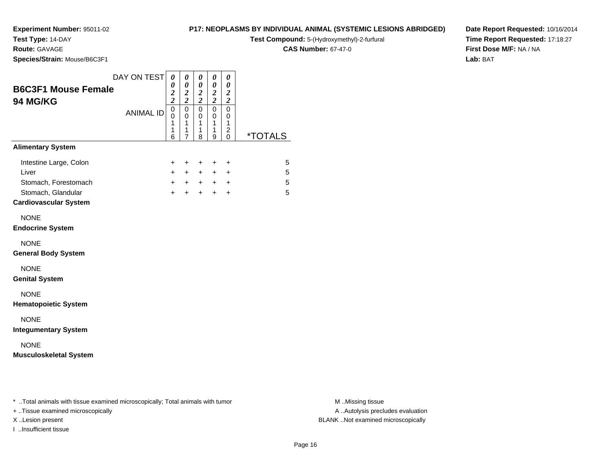**Test Type:** 14-DAY

**Route:** GAVAGE

**Species/Strain:** Mouse/B6C3F1

#### **P17: NEOPLASMS BY INDIVIDUAL ANIMAL (SYSTEMIC LESIONS ABRIDGED)**

**Test Compound:** 5-(Hydroxymethyl)-2-furfural

**CAS Number:** 67-47-0

**Date Report Requested:** 10/16/2014**Time Report Requested:** 17:18:27**First Dose M/F:** NA / NA**Lab:** BAT

| <b>B6C3F1 Mouse Female</b><br>94 MG/KG                                                                        | DAY ON TEST      | 0<br>0<br>$\overline{\mathbf{c}}$<br>$\overline{c}$ | 0<br>$\boldsymbol{\theta}$<br>$\frac{2}{2}$ | 0<br>$\pmb{\theta}$<br>$\boldsymbol{2}$<br>$\boldsymbol{2}$ | 0<br>0<br>$\boldsymbol{2}$<br>$\overline{2}$ | 0<br>$\boldsymbol{\theta}$<br>$\boldsymbol{2}$<br>$\boldsymbol{2}$ |                       |
|---------------------------------------------------------------------------------------------------------------|------------------|-----------------------------------------------------|---------------------------------------------|-------------------------------------------------------------|----------------------------------------------|--------------------------------------------------------------------|-----------------------|
|                                                                                                               | <b>ANIMAL ID</b> | $\mathbf 0$<br>0<br>1<br>1<br>6                     | $\mathsf 0$<br>0<br>1<br>1<br>7             | $\mathbf 0$<br>0<br>$\mathbf{1}$<br>1<br>8                  | $\mathbf 0$<br>0<br>1<br>1<br>9              | $\pmb{0}$<br>0<br>1<br>2<br>$\Omega$                               | <i><b>*TOTALS</b></i> |
| <b>Alimentary System</b>                                                                                      |                  |                                                     |                                             |                                                             |                                              |                                                                    |                       |
| Intestine Large, Colon<br>Liver<br>Stomach, Forestomach<br>Stomach, Glandular<br><b>Cardiovascular System</b> |                  | +<br>$+$<br>$+$<br>$+$                              | $\ddot{}$<br>$+$<br>$+$                     | $^+$<br>$+$<br>$+$ $+$<br>$+$                               | $\ddot{}$<br>$+$<br>$+$                      | $\ddot{}$<br>$\ddot{}$<br>$+$ $+$<br>$\ddot{}$                     | 5<br>5<br>5<br>5      |
| <b>NONE</b><br><b>Endocrine System</b>                                                                        |                  |                                                     |                                             |                                                             |                                              |                                                                    |                       |
| <b>NONE</b><br><b>General Body System</b>                                                                     |                  |                                                     |                                             |                                                             |                                              |                                                                    |                       |
| <b>NONE</b><br><b>Genital System</b>                                                                          |                  |                                                     |                                             |                                                             |                                              |                                                                    |                       |
| <b>NONE</b><br><b>Hematopoietic System</b>                                                                    |                  |                                                     |                                             |                                                             |                                              |                                                                    |                       |
| <b>NONE</b><br><b>Integumentary System</b>                                                                    |                  |                                                     |                                             |                                                             |                                              |                                                                    |                       |
| <b>NONE</b><br><b>Musculoskeletal System</b>                                                                  |                  |                                                     |                                             |                                                             |                                              |                                                                    |                       |
|                                                                                                               |                  |                                                     |                                             |                                                             |                                              |                                                                    |                       |
|                                                                                                               |                  |                                                     |                                             |                                                             |                                              |                                                                    |                       |

\* ..Total animals with tissue examined microscopically; Total animals with tumor **M** . Missing tissue M ..Missing tissue

+ ..Tissue examined microscopically

I ..Insufficient tissue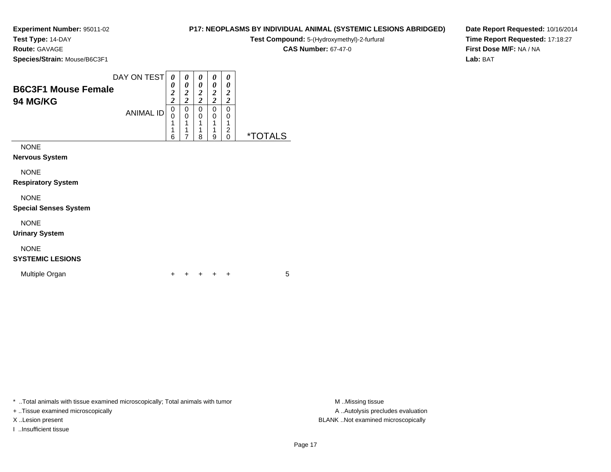**Experiment Number:** 95011-02**Test Type:** 14-DAY

## **P17: NEOPLASMS BY INDIVIDUAL ANIMAL (SYSTEMIC LESIONS ABRIDGED)**

**Test Compound:** 5-(Hydroxymethyl)-2-furfural

**CAS Number:** 67-47-0

**Date Report Requested:** 10/16/2014**Time Report Requested:** 17:18:27**First Dose M/F:** NA / NA**Lab:** BAT

**Species/Strain:** Mouse/B6C3F1

**Route:** GAVAGE

| <b>B6C3F1 Mouse Female</b><br>94 MG/KG              | DAY ON TEST<br><b>ANIMAL ID</b> | 0<br>0<br>2<br>$\overline{c}$<br>0<br>0<br>1<br>6 | 0<br>0<br>2<br>$\overline{2}$<br>0<br>$\mathbf 0$ | 0<br>0<br>$\overline{2}$<br>$\overline{2}$<br>0<br>$\mathbf 0$<br>1<br>1<br>8 | 0<br>0<br>$\overline{2}$<br>$\overline{2}$<br>0<br>0<br>4<br>1<br>9 | 0<br>0<br>2<br>2<br>0<br>0<br>1<br>2<br>0 | <i><b>*TOTALS</b></i> |
|-----------------------------------------------------|---------------------------------|---------------------------------------------------|---------------------------------------------------|-------------------------------------------------------------------------------|---------------------------------------------------------------------|-------------------------------------------|-----------------------|
| <b>NONE</b><br><b>Nervous System</b><br><b>NONE</b> |                                 |                                                   |                                                   |                                                                               |                                                                     |                                           |                       |

**Respiratory System**

#### NONE

**Special Senses System**

#### NONE

**Urinary System**

### NONE

#### **SYSTEMIC LESIONS**

Multiple Organn  $+$ 

<sup>+</sup> <sup>+</sup> <sup>+</sup> <sup>+</sup> <sup>5</sup>

\* ..Total animals with tissue examined microscopically; Total animals with tumor **M** ...Missing tissue M ...Missing tissue

+ ..Tissue examined microscopically

I ..Insufficient tissue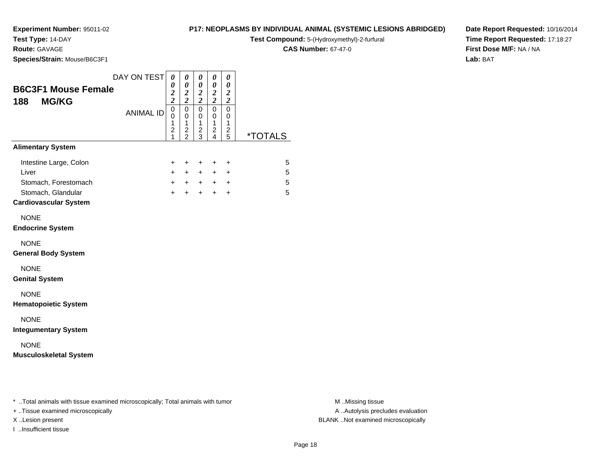# **Test Type:** 14-DAY

**Route:** GAVAGE

**Species/Strain:** Mouse/B6C3F1

#### **P17: NEOPLASMS BY INDIVIDUAL ANIMAL (SYSTEMIC LESIONS ABRIDGED)**

**Test Compound:** 5-(Hydroxymethyl)-2-furfural

**CAS Number:** 67-47-0

**Date Report Requested:** 10/16/2014**Time Report Requested:** 17:18:27**First Dose M/F:** NA / NA**Lab:** BAT

|                                                   | DAY ON TEST      | $\boldsymbol{\theta}$                                    | 0                                                | 0                                  | 0                                       | 0                                      |                       |
|---------------------------------------------------|------------------|----------------------------------------------------------|--------------------------------------------------|------------------------------------|-----------------------------------------|----------------------------------------|-----------------------|
| <b>B6C3F1 Mouse Female</b><br><b>MG/KG</b><br>188 |                  | 0<br>$\frac{2}{2}$                                       | 0<br>$\frac{2}{2}$                               | 0<br>$\frac{2}{2}$                 | $\boldsymbol{\theta}$<br>$\frac{2}{2}$  | 0<br>$\frac{2}{2}$                     |                       |
|                                                   | <b>ANIMAL ID</b> | $\overline{0}$<br>0<br>1<br>$\overline{\mathbf{c}}$<br>1 | $\mathsf 0$<br>$\mathbf 0$<br>1<br>$\frac{2}{2}$ | 0<br>0<br>1<br>$\overline{c}$<br>3 | 0<br>0<br>$\mathbf{1}$<br>$\frac{2}{4}$ | $\mathbf 0$<br>0<br>1<br>$\frac{2}{5}$ | <i><b>*TOTALS</b></i> |
| <b>Alimentary System</b>                          |                  |                                                          |                                                  |                                    |                                         |                                        |                       |
| Intestine Large, Colon<br>Liver                   |                  | $\ddot{}$<br>$+$                                         | $\ddot{}$<br>$+$                                 | $\ddot{}$<br>$+$                   | $\ddot{}$<br>$+$                        | $\ddot{}$<br>$\ddot{}$                 | 5<br>5                |
| Stomach, Forestomach<br>Stomach, Glandular        |                  | $+$<br>$+$                                               | $+$<br>$+$                                       | $+$<br>$+$                         | $+$<br>$\ddot{}$                        | $\ddot{}$<br>$\ddot{}$                 | 5<br>5                |
| <b>Cardiovascular System</b>                      |                  |                                                          |                                                  |                                    |                                         |                                        |                       |
| <b>NONE</b><br><b>Endocrine System</b>            |                  |                                                          |                                                  |                                    |                                         |                                        |                       |
| <b>NONE</b><br><b>General Body System</b>         |                  |                                                          |                                                  |                                    |                                         |                                        |                       |
| <b>NONE</b><br><b>Genital System</b>              |                  |                                                          |                                                  |                                    |                                         |                                        |                       |
| <b>NONE</b><br><b>Hematopoietic System</b>        |                  |                                                          |                                                  |                                    |                                         |                                        |                       |
| <b>NONE</b><br><b>Integumentary System</b>        |                  |                                                          |                                                  |                                    |                                         |                                        |                       |
| <b>NONE</b><br><b>Musculoskeletal System</b>      |                  |                                                          |                                                  |                                    |                                         |                                        |                       |

\* ..Total animals with tissue examined microscopically; Total animals with tumor **M** . Missing tissue M ..Missing tissue

+ ..Tissue examined microscopically

I ..Insufficient tissue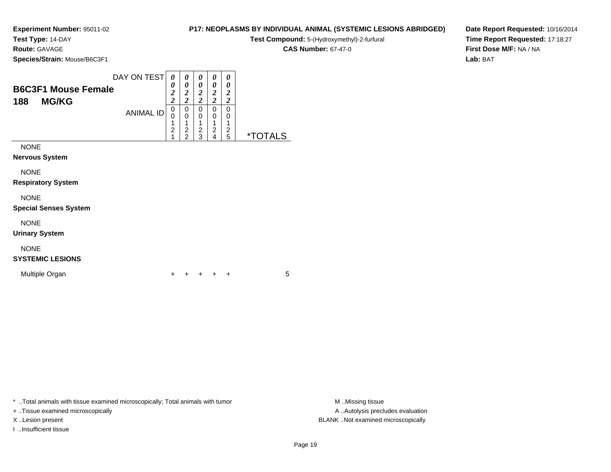**Test Type:** 14-DAY

**Route:** GAVAGE

**Species/Strain:** Mouse/B6C3F1

| <b>P17: NEOPLASMS BY INDIVIDUAL ANIMAL (SYSTEMIC LESIONS ABRIDGED)</b> |  |  |
|------------------------------------------------------------------------|--|--|
|------------------------------------------------------------------------|--|--|

**Test Compound:** 5-(Hydroxymethyl)-2-furfural

**CAS Number:** 67-47-0

**Date Report Requested:** 10/16/2014**Time Report Requested:** 17:18:27**First Dose M/F:** NA / NA**Lab:** BAT

| <b>B6C3F1 Mouse Female</b><br><b>MG/KG</b><br>188 | DAY ON TEST      | 0<br>0<br>$\overline{\mathbf{c}}$<br>$\overline{\mathbf{c}}$ | 0<br>0<br>$\boldsymbol{2}$<br>$\overline{c}$ | 0<br>0<br>$\boldsymbol{2}$<br>$\boldsymbol{2}$ | 0<br>0<br>$\boldsymbol{2}$<br>$\boldsymbol{2}$ | 0<br>0<br>2<br>2 |                       |
|---------------------------------------------------|------------------|--------------------------------------------------------------|----------------------------------------------|------------------------------------------------|------------------------------------------------|------------------|-----------------------|
|                                                   | <b>ANIMAL ID</b> | 0<br>0<br>1<br>$\overline{c}$<br>1                           | 0<br>0<br>$\frac{2}{2}$                      | 0<br>0<br>$\overline{\mathbf{c}}$<br>3         | 0<br>0<br>1<br>$\overline{c}$<br>4             | 0<br>0<br>2<br>5 | <i><b>*TOTALS</b></i> |
| <b>NONE</b><br><b>Nervous System</b>              |                  |                                                              |                                              |                                                |                                                |                  |                       |
| <b>NONE</b><br><b>Respiratory System</b>          |                  |                                                              |                                              |                                                |                                                |                  |                       |
| <b>NONE</b><br><b>Special Senses System</b>       |                  |                                                              |                                              |                                                |                                                |                  |                       |
| <b>NONE</b>                                       |                  |                                                              |                                              |                                                |                                                |                  |                       |

**Urinary System**

## NONE

### **SYSTEMIC LESIONS**

Multiple Organn  $+$ 

<sup>+</sup> <sup>+</sup> <sup>+</sup> <sup>+</sup> <sup>5</sup>

\* ..Total animals with tissue examined microscopically; Total animals with tumor **M** . Missing tissue M ..Missing tissue

+ ..Tissue examined microscopically

I ..Insufficient tissue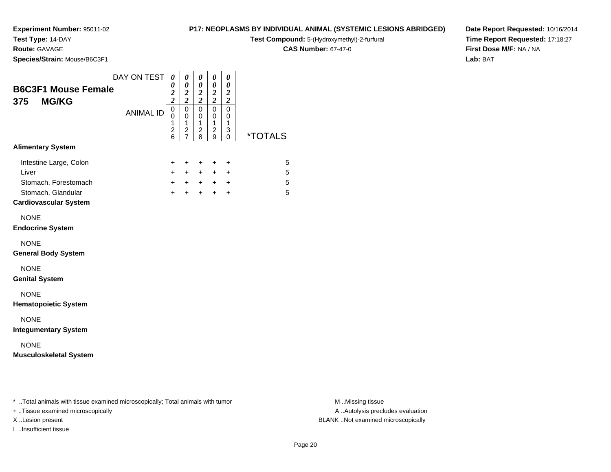# **Test Type:** 14-DAY

**Route:** GAVAGE

**Species/Strain:** Mouse/B6C3F1

### **P17: NEOPLASMS BY INDIVIDUAL ANIMAL (SYSTEMIC LESIONS ABRIDGED)**

**Test Compound:** 5-(Hydroxymethyl)-2-furfural

**CAS Number:** 67-47-0

**Date Report Requested:** 10/16/2014**Time Report Requested:** 17:18:27**First Dose M/F:** NA / NA**Lab:** BAT

|                               | DAY ON TEST      | 0                                       | 0                                         | 0                       | 0                              | 0                     |                       |
|-------------------------------|------------------|-----------------------------------------|-------------------------------------------|-------------------------|--------------------------------|-----------------------|-----------------------|
| <b>B6C3F1 Mouse Female</b>    |                  | 0<br>$\boldsymbol{2}$                   | $\boldsymbol{\theta}$<br>$\boldsymbol{2}$ | 0<br>$\boldsymbol{2}$   | 0<br>$\boldsymbol{2}$          | 0<br>$\boldsymbol{2}$ |                       |
| <b>MG/KG</b><br>375           |                  | $\overline{\mathbf{c}}$                 | $\overline{\mathbf{c}}$                   | $\overline{\mathbf{c}}$ | $\boldsymbol{2}$               | $\boldsymbol{2}$      |                       |
|                               | <b>ANIMAL ID</b> | $\mathbf 0$<br>0                        | $\mathbf 0$<br>0                          | $\mathbf 0$<br>0        | 0<br>0                         | 0<br>0                |                       |
|                               |                  | $\mathbf{1}$<br>$\overline{\mathbf{c}}$ | $\mathbf{1}$                              | $\mathbf{1}$            | $\mathbf{1}$<br>$\overline{c}$ | $\mathbf{1}$<br>3     |                       |
|                               |                  | 6                                       | $\frac{2}{7}$                             | $\frac{2}{8}$           | 9                              | $\mathbf 0$           | <i><b>*TOTALS</b></i> |
| <b>Alimentary System</b>      |                  |                                         |                                           |                         |                                |                       |                       |
| Intestine Large, Colon        |                  | $\ddot{}$                               | $\ddot{}$                                 | $\ddot{}$               | $\ddot{}$                      | $\ddot{}$             | 5                     |
| Liver                         |                  | $+$                                     | $+$                                       | $+$                     | $+$                            | $\ddot{}$             | 5                     |
| Stomach, Forestomach          |                  | $+$                                     | $+$                                       | $+$                     | $+$                            | $\ddot{}$             | 5                     |
| Stomach, Glandular            |                  | $+$                                     | $+$                                       | $+$                     | $+$                            | $\ddot{}$             | 5                     |
| <b>Cardiovascular System</b>  |                  |                                         |                                           |                         |                                |                       |                       |
| <b>NONE</b>                   |                  |                                         |                                           |                         |                                |                       |                       |
| <b>Endocrine System</b>       |                  |                                         |                                           |                         |                                |                       |                       |
| <b>NONE</b>                   |                  |                                         |                                           |                         |                                |                       |                       |
| <b>General Body System</b>    |                  |                                         |                                           |                         |                                |                       |                       |
| <b>NONE</b>                   |                  |                                         |                                           |                         |                                |                       |                       |
| <b>Genital System</b>         |                  |                                         |                                           |                         |                                |                       |                       |
| <b>NONE</b>                   |                  |                                         |                                           |                         |                                |                       |                       |
| <b>Hematopoietic System</b>   |                  |                                         |                                           |                         |                                |                       |                       |
| <b>NONE</b>                   |                  |                                         |                                           |                         |                                |                       |                       |
| <b>Integumentary System</b>   |                  |                                         |                                           |                         |                                |                       |                       |
| <b>NONE</b>                   |                  |                                         |                                           |                         |                                |                       |                       |
| <b>Musculoskeletal System</b> |                  |                                         |                                           |                         |                                |                       |                       |
|                               |                  |                                         |                                           |                         |                                |                       |                       |
|                               |                  |                                         |                                           |                         |                                |                       |                       |
|                               |                  |                                         |                                           |                         |                                |                       |                       |
|                               |                  |                                         |                                           |                         |                                |                       |                       |

\* ..Total animals with tissue examined microscopically; Total animals with tumor **M** . Missing tissue M ..Missing tissue

+ ..Tissue examined microscopically

I ..Insufficient tissue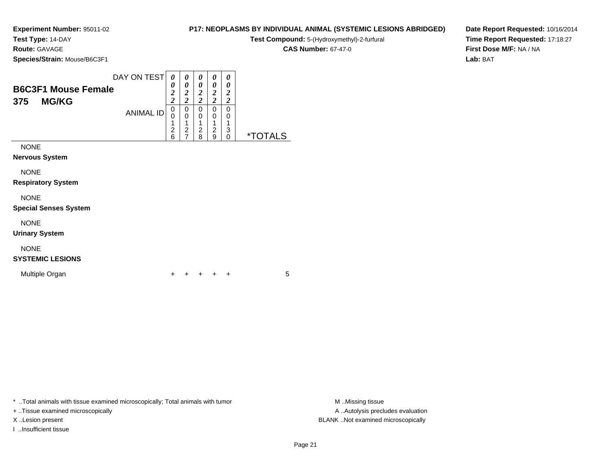**Test Type:** 14-DAY**Route:** GAVAGE

**Species/Strain:** Mouse/B6C3F1

### **P17: NEOPLASMS BY INDIVIDUAL ANIMAL (SYSTEMIC LESIONS ABRIDGED)**

**Test Compound:** 5-(Hydroxymethyl)-2-furfural

**CAS Number:** 67-47-0

**Date Report Requested:** 10/16/2014**Time Report Requested:** 17:18:27**First Dose M/F:** NA / NA**Lab:** BAT

| <b>B6C3F1 Mouse Female</b><br><b>MG/KG</b><br>375                                | DAY ON TEST<br><b>ANIMAL ID</b> | 0<br>0<br>$\overline{\mathbf{c}}$<br>$\overline{\mathbf{c}}$<br>0<br>0<br>1<br>$\frac{2}{6}$ | 0<br>0<br>$\overline{\mathbf{c}}$<br>$\overline{c}$<br>0<br>0<br>1<br>$\overline{c}$<br>$\overline{7}$ | 0<br>0<br>$\overline{2}$<br>$\overline{c}$<br>0<br>0<br>2<br>8 | 0<br>0<br>2<br>$\overline{2}$<br>0<br>0<br>2<br>9 | 0<br>0<br>$\overline{2}$<br>$\overline{2}$<br>0<br>0<br>3<br>$\Omega$ | <i><b>*TOTALS</b></i> |
|----------------------------------------------------------------------------------|---------------------------------|----------------------------------------------------------------------------------------------|--------------------------------------------------------------------------------------------------------|----------------------------------------------------------------|---------------------------------------------------|-----------------------------------------------------------------------|-----------------------|
| <b>NONE</b><br><b>Nervous System</b><br><b>NONE</b><br><b>Respiratory System</b> |                                 |                                                                                              |                                                                                                        |                                                                |                                                   |                                                                       |                       |
| <b>NONE</b><br><b>Special Senses System</b>                                      |                                 |                                                                                              |                                                                                                        |                                                                |                                                   |                                                                       |                       |

NONE

**Urinary System**

### NONE

### **SYSTEMIC LESIONS**

Multiple Organn  $+$ 

<sup>+</sup> <sup>+</sup> <sup>+</sup> <sup>+</sup> <sup>5</sup>

\* ..Total animals with tissue examined microscopically; Total animals with tumor **M** . Missing tissue M ..Missing tissue

+ ..Tissue examined microscopically

I ..Insufficient tissue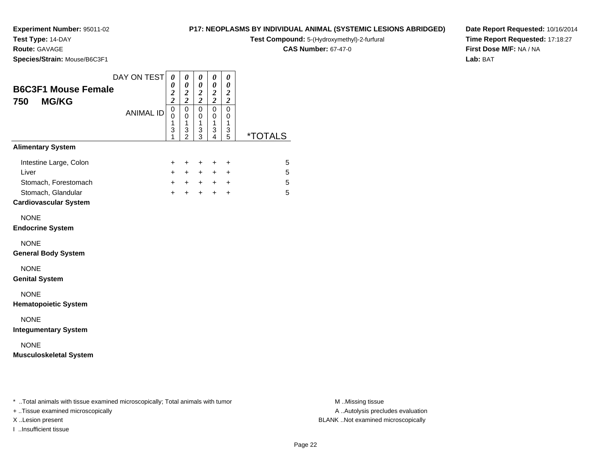## **Test Type:** 14-DAY

**Route:** GAVAGE

**Species/Strain:** Mouse/B6C3F1

#### **P17: NEOPLASMS BY INDIVIDUAL ANIMAL (SYSTEMIC LESIONS ABRIDGED)**

**Test Compound:** 5-(Hydroxymethyl)-2-furfural

**CAS Number:** 67-47-0

**Date Report Requested:** 10/16/2014**Time Report Requested:** 17:18:27**First Dose M/F:** NA / NA**Lab:** BAT

| <b>B6C3F1 Mouse Female</b><br><b>MG/KG</b><br>750                                                             | DAY ON TEST      | 0<br>0<br>$\overline{\mathbf{c}}$<br>$\bar{2}$ | 0<br>$\boldsymbol{\theta}$<br>$\frac{2}{2}$            | 0<br>$\boldsymbol{\theta}$<br>$\frac{2}{2}$             | 0<br>0<br>$\boldsymbol{2}$<br>$\overline{c}$ | 0<br>$\boldsymbol{\theta}$<br>$\boldsymbol{2}$<br>$\overline{2}$ |                  |
|---------------------------------------------------------------------------------------------------------------|------------------|------------------------------------------------|--------------------------------------------------------|---------------------------------------------------------|----------------------------------------------|------------------------------------------------------------------|------------------|
|                                                                                                               | <b>ANIMAL ID</b> | $\mathbf 0$<br>0<br>1<br>3<br>1                | $\mathbf 0$<br>$\mathbf 0$<br>1<br>3<br>$\overline{2}$ | $\mathbf 0$<br>0<br>$\mathbf{1}$<br>3<br>$\overline{3}$ | $\Omega$<br>0<br>1<br>3<br>$\overline{4}$    | $\mathbf 0$<br>0<br>1<br>3<br>5                                  | <u>*TOTALS</u>   |
| <b>Alimentary System</b>                                                                                      |                  |                                                |                                                        |                                                         |                                              |                                                                  |                  |
| Intestine Large, Colon<br>Liver<br>Stomach, Forestomach<br>Stomach, Glandular<br><b>Cardiovascular System</b> |                  | +<br>$+$<br>$+$<br>$+$                         | $\ddot{}$<br>$+$<br>$+$                                | $\ddot{}$<br>$+$<br>$+$ $+$<br>$+$                      | $\ddot{}$<br>$+$<br>$+$                      | +<br>$\ddot{}$<br>$+$ $+$<br>$\ddot{}$                           | 5<br>5<br>5<br>5 |
| <b>NONE</b><br><b>Endocrine System</b>                                                                        |                  |                                                |                                                        |                                                         |                                              |                                                                  |                  |
| <b>NONE</b><br><b>General Body System</b>                                                                     |                  |                                                |                                                        |                                                         |                                              |                                                                  |                  |
| <b>NONE</b><br><b>Genital System</b>                                                                          |                  |                                                |                                                        |                                                         |                                              |                                                                  |                  |
| <b>NONE</b><br><b>Hematopoietic System</b>                                                                    |                  |                                                |                                                        |                                                         |                                              |                                                                  |                  |
| <b>NONE</b><br><b>Integumentary System</b>                                                                    |                  |                                                |                                                        |                                                         |                                              |                                                                  |                  |
| <b>NONE</b><br><b>Musculoskeletal System</b>                                                                  |                  |                                                |                                                        |                                                         |                                              |                                                                  |                  |
|                                                                                                               |                  |                                                |                                                        |                                                         |                                              |                                                                  |                  |
|                                                                                                               |                  |                                                |                                                        |                                                         |                                              |                                                                  |                  |

\* ..Total animals with tissue examined microscopically; Total animals with tumor **M** . Missing tissue M ..Missing tissue

+ ..Tissue examined microscopically

I ..Insufficient tissue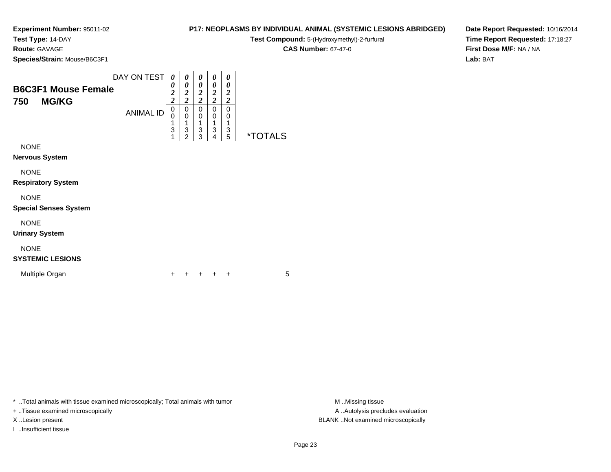**Test Type:** 14-DAY**Route:** GAVAGE

**Species/Strain:** Mouse/B6C3F1

#### **P17: NEOPLASMS BY INDIVIDUAL ANIMAL (SYSTEMIC LESIONS ABRIDGED)**

**Test Compound:** 5-(Hydroxymethyl)-2-furfural

**CAS Number:** 67-47-0

**Date Report Requested:** 10/16/2014**Time Report Requested:** 17:18:27**First Dose M/F:** NA / NA**Lab:** BAT

| <b>B6C3F1 Mouse Female</b><br><b>MG/KG</b><br>750 | DAY ON TEST      | 0<br>0<br>$\overline{\mathbf{c}}$<br>$\overline{c}$ | 0<br>0<br>$\overline{\mathbf{c}}$<br>$\overline{2}$ | 0<br>0<br>$\overline{\mathbf{c}}$<br>$\overline{2}$ | 0<br>0<br>$\overline{\mathbf{c}}$<br>$\overline{2}$ | 0<br>0<br>2<br>$\overline{\mathbf{c}}$ |                       |
|---------------------------------------------------|------------------|-----------------------------------------------------|-----------------------------------------------------|-----------------------------------------------------|-----------------------------------------------------|----------------------------------------|-----------------------|
|                                                   | <b>ANIMAL ID</b> | 0<br>0<br>1<br>3<br>1                               | 0<br>$\mathbf 0$<br>1<br>3<br>$\overline{2}$        | 0<br>0<br>1<br>3<br>3                               | 0<br>0<br>1<br>3<br>4                               | 0<br>0<br>3<br>5                       | <i><b>*TOTALS</b></i> |
| <b>NONE</b><br><b>Nervous System</b>              |                  |                                                     |                                                     |                                                     |                                                     |                                        |                       |
| <b>NONE</b><br><b>Respiratory System</b>          |                  |                                                     |                                                     |                                                     |                                                     |                                        |                       |
| <b>NONE</b><br><b>Special Senses System</b>       |                  |                                                     |                                                     |                                                     |                                                     |                                        |                       |
| <b>NONE</b>                                       |                  |                                                     |                                                     |                                                     |                                                     |                                        |                       |

**Urinary System**

### NONE

### **SYSTEMIC LESIONS**

Multiple Organn  $+$ 

<sup>+</sup> <sup>+</sup> <sup>+</sup> <sup>+</sup> <sup>5</sup>

\* ..Total animals with tissue examined microscopically; Total animals with tumor **M** . Missing tissue M ..Missing tissue

+ ..Tissue examined microscopically

I ..Insufficient tissue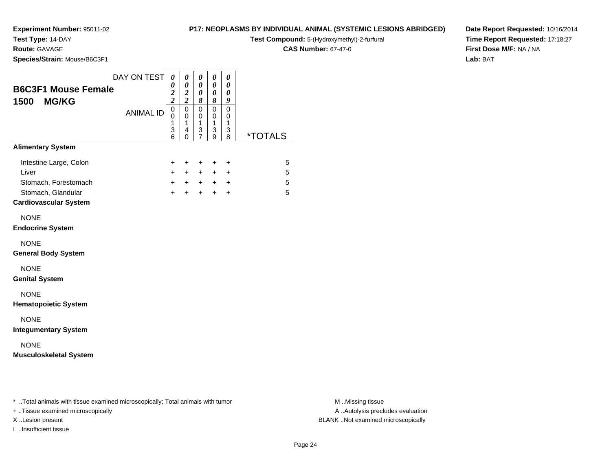**Test Type:** 14-DAY

**Route:** GAVAGE

**Species/Strain:** Mouse/B6C3F1

#### **P17: NEOPLASMS BY INDIVIDUAL ANIMAL (SYSTEMIC LESIONS ABRIDGED)**

**Test Compound:** 5-(Hydroxymethyl)-2-furfural

**CAS Number:** 67-47-0

**Date Report Requested:** 10/16/2014**Time Report Requested:** 17:18:27**First Dose M/F:** NA / NA**Lab:** BAT

| <b>B6C3F1 Mouse Female</b><br><b>MG/KG</b><br>1500                                                            | DAY ON TEST<br><b>ANIMAL ID</b> | 0<br>0<br>$\frac{2}{2}$<br>$\mathbf 0$<br>0 | 0<br>0<br>$\boldsymbol{2}$<br>$\overline{c}$<br>$\mathbf 0$<br>$\mathbf 0$ | 0<br>0<br>0<br>8<br>0<br>0 | 0<br>0<br>0<br>8<br>$\mathbf 0$<br>0 | 0<br>0<br>0<br>9<br>$\mathbf 0$<br>0     |                       |
|---------------------------------------------------------------------------------------------------------------|---------------------------------|---------------------------------------------|----------------------------------------------------------------------------|----------------------------|--------------------------------------|------------------------------------------|-----------------------|
|                                                                                                               |                                 | $\mathbf{1}$<br>3<br>6                      | $\mathbf{1}$<br>4<br>0                                                     | 1<br>3<br>$\overline{7}$   | 1<br>3<br>9                          | $\mathbf{1}$<br>3<br>8                   | <i><b>*TOTALS</b></i> |
| <b>Alimentary System</b>                                                                                      |                                 |                                             |                                                                            |                            |                                      |                                          |                       |
| Intestine Large, Colon<br>Liver<br>Stomach, Forestomach<br>Stomach, Glandular<br><b>Cardiovascular System</b> |                                 | +<br>$+$<br>$+$<br>$+$                      | +<br>$+$<br>$+$<br>$+$                                                     | +<br>$+$<br>$+$            | +<br>$+$<br>$+$ $+$<br>$+$           | +<br>$\ddot{}$<br>$\ddot{}$<br>$\ddot{}$ | 5<br>5<br>5<br>5      |
| <b>NONE</b><br><b>Endocrine System</b>                                                                        |                                 |                                             |                                                                            |                            |                                      |                                          |                       |
| <b>NONE</b><br><b>General Body System</b>                                                                     |                                 |                                             |                                                                            |                            |                                      |                                          |                       |
| <b>NONE</b><br><b>Genital System</b>                                                                          |                                 |                                             |                                                                            |                            |                                      |                                          |                       |
| <b>NONE</b><br><b>Hematopoietic System</b>                                                                    |                                 |                                             |                                                                            |                            |                                      |                                          |                       |
| <b>NONE</b><br><b>Integumentary System</b>                                                                    |                                 |                                             |                                                                            |                            |                                      |                                          |                       |
| <b>NONE</b><br><b>Musculoskeletal System</b>                                                                  |                                 |                                             |                                                                            |                            |                                      |                                          |                       |
|                                                                                                               |                                 |                                             |                                                                            |                            |                                      |                                          |                       |
|                                                                                                               |                                 |                                             |                                                                            |                            |                                      |                                          |                       |

\* ..Total animals with tissue examined microscopically; Total animals with tumor **M** . Missing tissue M ..Missing tissue

+ ..Tissue examined microscopically

I ..Insufficient tissue